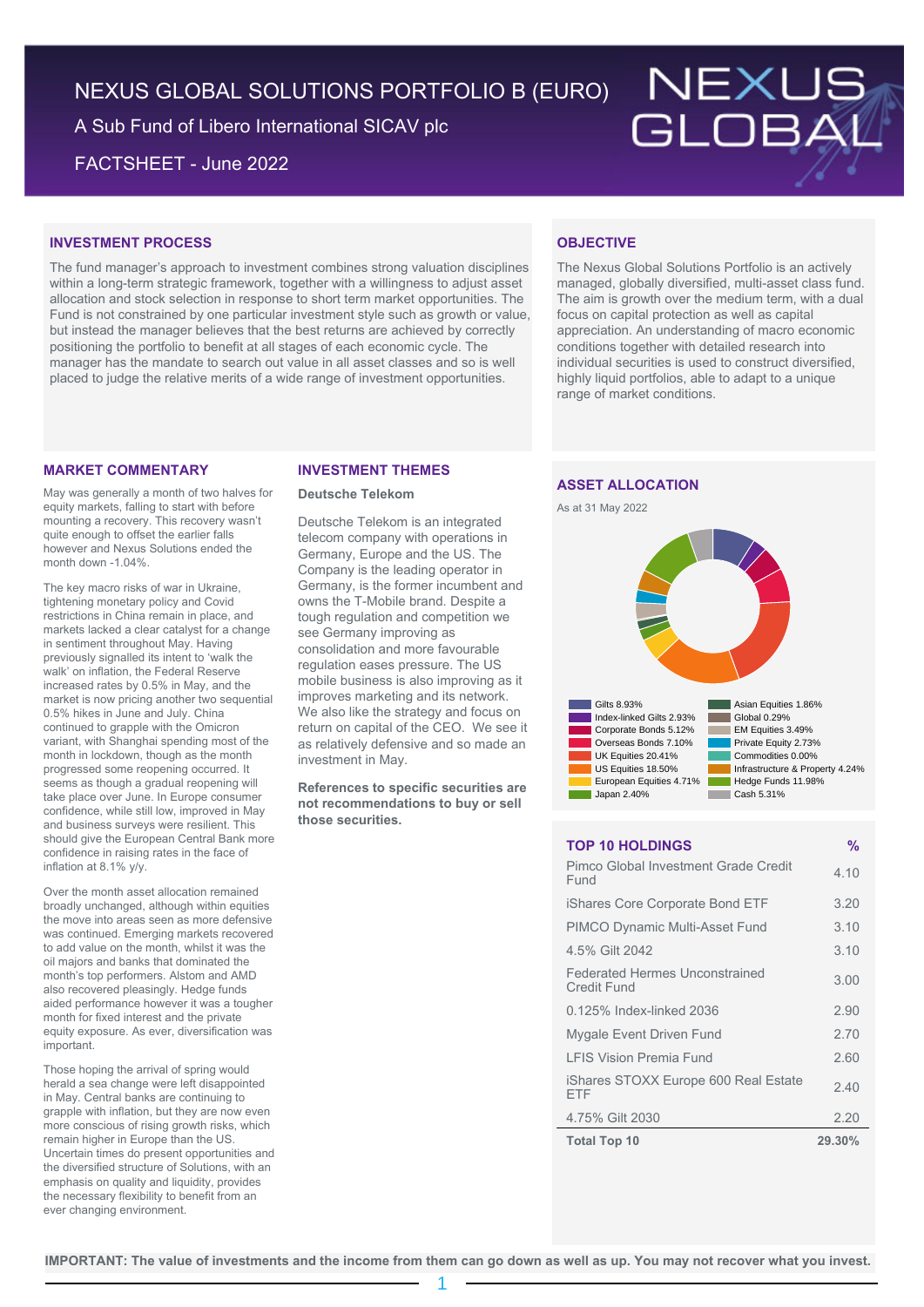# NEXUS GLOBAL SOLUTIONS PORTFOLIO B (EURO)

A Sub Fund of Libero International SICAV plc

FACTSHEET - June 2022



#### **INVESTMENT PROCESS**

The fund manager's approach to investment combines strong valuation disciplines within a long-term strategic framework, together with a willingness to adjust asset allocation and stock selection in response to short term market opportunities. The Fund is not constrained by one particular investment style such as growth or value, but instead the manager believes that the best returns are achieved by correctly positioning the portfolio to benefit at all stages of each economic cycle. The manager has the mandate to search out value in all asset classes and so is well placed to judge the relative merits of a wide range of investment opportunities.

#### **MARKET COMMENTARY**

May was generally a month of two halves for equity markets, falling to start with before mounting a recovery. This recovery wasn't quite enough to offset the earlier falls however and Nexus Solutions ended the month down -1.04%

The key macro risks of war in Ukraine, tightening monetary policy and Covid restrictions in China remain in place, and markets lacked a clear catalyst for a change in sentiment throughout May. Having previously signalled its intent to 'walk the walk' on inflation, the Federal Reserve increased rates by 0.5% in May, and the market is now pricing another two sequential 0.5% hikes in June and July. China continued to grapple with the Omicron variant, with Shanghai spending most of the month in lockdown, though as the month progressed some reopening occurred. It seems as though a gradual reopening will take place over June. In Europe consumer confidence, while still low, improved in May and business surveys were resilient. This should give the European Central Bank more confidence in raising rates in the face of inflation at 8.1% y/y.

Over the month asset allocation remained broadly unchanged, although within equities the move into areas seen as more defensive was continued. Emerging markets recovered to add value on the month, whilst it was the oil majors and banks that dominated the month's top performers. Alstom and AMD also recovered pleasingly. Hedge funds aided performance however it was a tougher month for fixed interest and the private equity exposure. As ever, diversification was important.

Those hoping the arrival of spring would herald a sea change were left disappointed in May. Central banks are continuing to grapple with inflation, but they are now even more conscious of rising growth risks, which remain higher in Europe than the US. Uncertain times do present opportunities and the diversified structure of Solutions, with an emphasis on quality and liquidity, provides the necessary flexibility to benefit from an ever changing environment.

#### **INVESTMENT THEMES**

#### **Deutsche Telekom**

Deutsche Telekom is an integrated telecom company with operations in Germany, Europe and the US. The Company is the leading operator in Germany, is the former incumbent and owns the T-Mobile brand. Despite a tough regulation and competition we see Germany improving as consolidation and more favourable regulation eases pressure. The US mobile business is also improving as it improves marketing and its network. We also like the strategy and focus on return on capital of the CEO. We see it as relatively defensive and so made an investment in May.

**References to specific securities are not recommendations to buy or sell those securities.**

## **OBJECTIVE**

The Nexus Global Solutions Portfolio is an actively managed, globally diversified, multi-asset class fund. The aim is growth over the medium term, with a dual focus on capital protection as well as capital appreciation. An understanding of macro economic conditions together with detailed research into individual securities is used to construct diversified, highly liquid portfolios, able to adapt to a unique range of market conditions.

## **ASSET ALLOCATION**





#### **TOP 10 HOLDINGS %**

| Pimco Global Investment Grade Credit<br>Fund         | 4.10   |
|------------------------------------------------------|--------|
| iShares Core Corporate Bond ETF                      | 3.20   |
| <b>PIMCO Dynamic Multi-Asset Fund</b>                | 3.10   |
| 4.5% Gilt 2042                                       | 3.10   |
| <b>Federated Hermes Unconstrained</b><br>Credit Fund | 3.00   |
| 0.125% Index-linked 2036                             | 2.90   |
| Mygale Event Driven Fund                             | 2.70   |
| <b>I FIS Vision Premia Fund</b>                      | 2.60   |
| iShares STOXX Europe 600 Real Estate<br>FTF          | 2.40   |
| 4.75% Gilt 2030                                      | 2.20   |
| <b>Total Top 10</b>                                  | 29.30% |

1